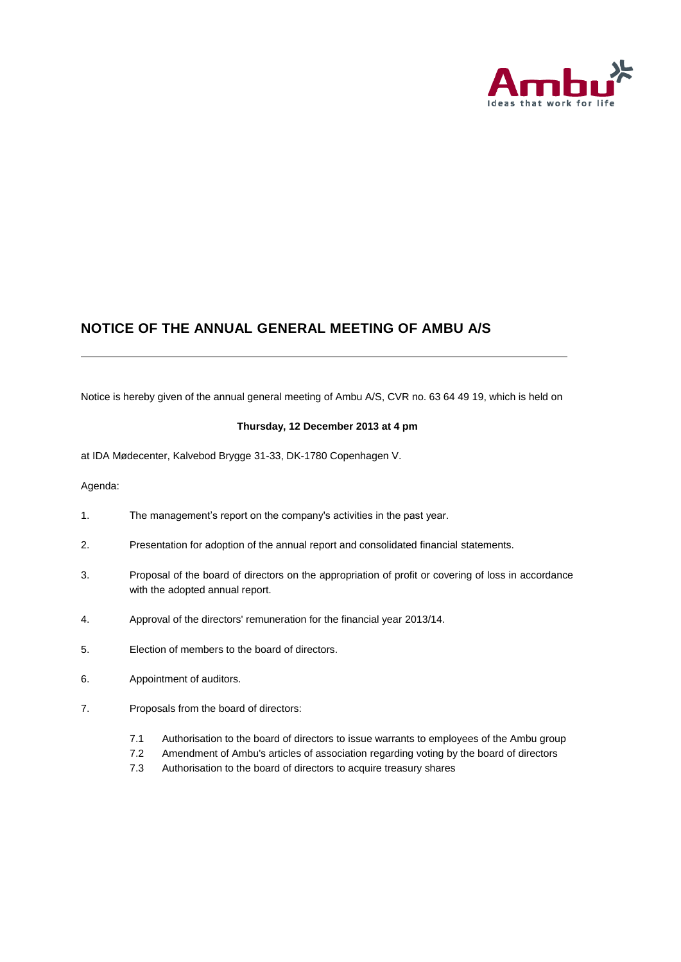

# **NOTICE OF THE ANNUAL GENERAL MEETING OF AMBU A/S**

Notice is hereby given of the annual general meeting of Ambu A/S, CVR no. 63 64 49 19, which is held on

## **Thursday, 12 December 2013 at 4 pm**

at IDA Mødecenter, Kalvebod Brygge 31-33, DK-1780 Copenhagen V.

Agenda:

- 1. The management's report on the company's activities in the past year.
- 2. Presentation for adoption of the annual report and consolidated financial statements.
- 3. Proposal of the board of directors on the appropriation of profit or covering of loss in accordance with the adopted annual report.
- 4. Approval of the directors' remuneration for the financial year 2013/14.
- 5. Election of members to the board of directors.
- 6. Appointment of auditors.
- 7. Proposals from the board of directors:
	- 7.1 Authorisation to the board of directors to issue warrants to employees of the Ambu group
	- 7.2 Amendment of Ambu's articles of association regarding voting by the board of directors
	- 7.3 Authorisation to the board of directors to acquire treasury shares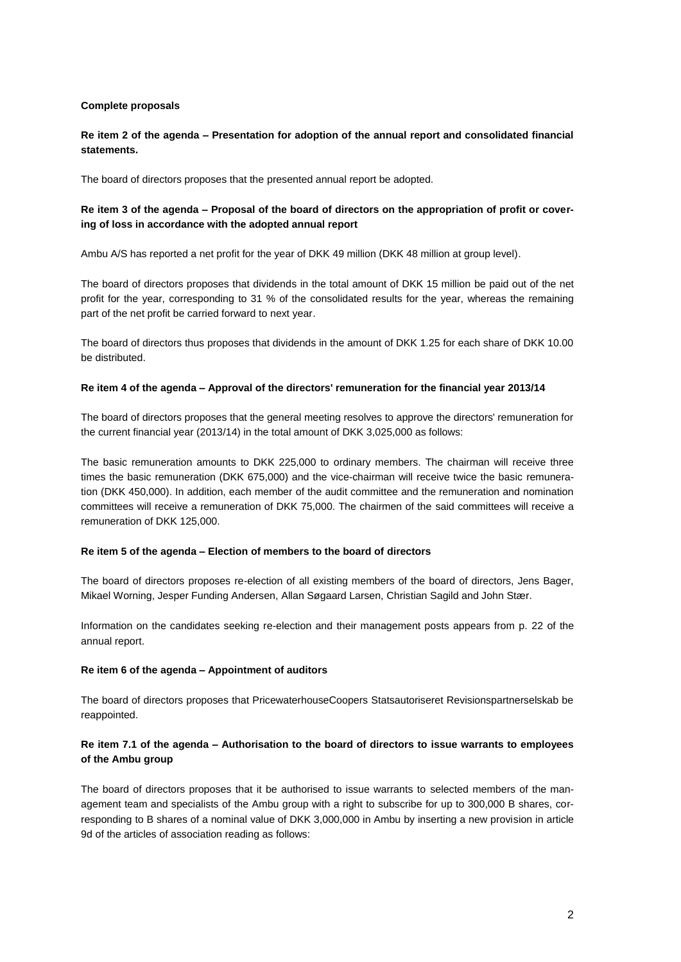## **Complete proposals**

# **Re item 2 of the agenda – Presentation for adoption of the annual report and consolidated financial statements.**

The board of directors proposes that the presented annual report be adopted.

# **Re item 3 of the agenda – Proposal of the board of directors on the appropriation of profit or covering of loss in accordance with the adopted annual report**

Ambu A/S has reported a net profit for the year of DKK 49 million (DKK 48 million at group level).

The board of directors proposes that dividends in the total amount of DKK 15 million be paid out of the net profit for the year, corresponding to 31 % of the consolidated results for the year, whereas the remaining part of the net profit be carried forward to next year.

The board of directors thus proposes that dividends in the amount of DKK 1.25 for each share of DKK 10.00 be distributed.

## **Re item 4 of the agenda – Approval of the directors' remuneration for the financial year 2013/14**

The board of directors proposes that the general meeting resolves to approve the directors' remuneration for the current financial year (2013/14) in the total amount of DKK 3,025,000 as follows:

The basic remuneration amounts to DKK 225,000 to ordinary members. The chairman will receive three times the basic remuneration (DKK 675,000) and the vice-chairman will receive twice the basic remuneration (DKK 450,000). In addition, each member of the audit committee and the remuneration and nomination committees will receive a remuneration of DKK 75,000. The chairmen of the said committees will receive a remuneration of DKK 125,000.

#### **Re item 5 of the agenda – Election of members to the board of directors**

The board of directors proposes re-election of all existing members of the board of directors, Jens Bager, Mikael Worning, Jesper Funding Andersen, Allan Søgaard Larsen, Christian Sagild and John Stær.

Information on the candidates seeking re-election and their management posts appears from p. 22 of the annual report.

#### **Re item 6 of the agenda – Appointment of auditors**

The board of directors proposes that PricewaterhouseCoopers Statsautoriseret Revisionspartnerselskab be reappointed.

# **Re item 7.1 of the agenda – Authorisation to the board of directors to issue warrants to employees of the Ambu group**

The board of directors proposes that it be authorised to issue warrants to selected members of the management team and specialists of the Ambu group with a right to subscribe for up to 300,000 B shares, corresponding to B shares of a nominal value of DKK 3,000,000 in Ambu by inserting a new provision in article 9d of the articles of association reading as follows: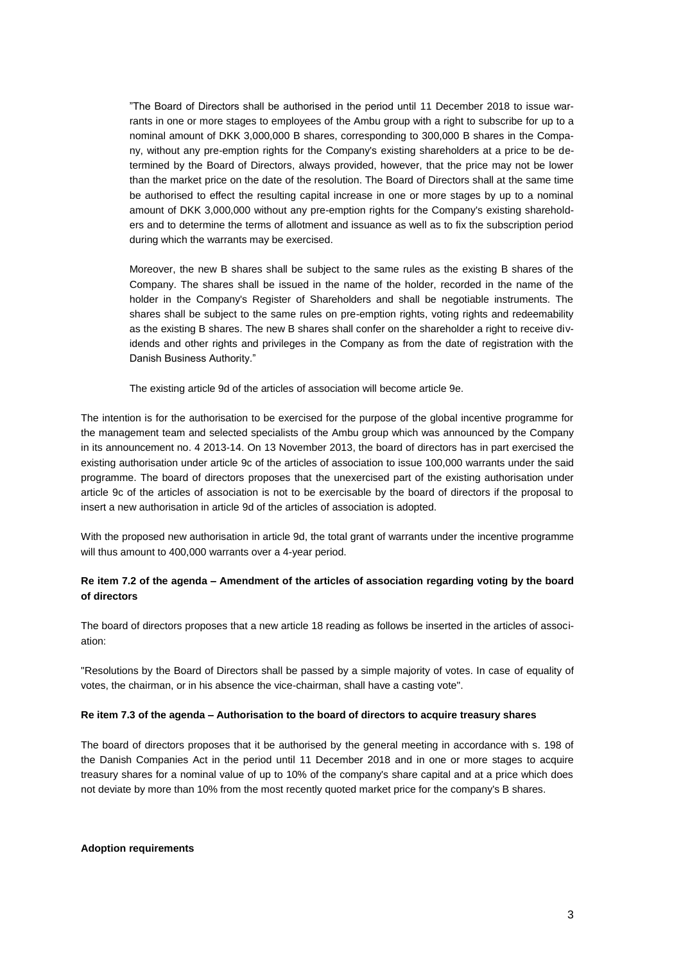"The Board of Directors shall be authorised in the period until 11 December 2018 to issue warrants in one or more stages to employees of the Ambu group with a right to subscribe for up to a nominal amount of DKK 3,000,000 B shares, corresponding to 300,000 B shares in the Company, without any pre-emption rights for the Company's existing shareholders at a price to be determined by the Board of Directors, always provided, however, that the price may not be lower than the market price on the date of the resolution. The Board of Directors shall at the same time be authorised to effect the resulting capital increase in one or more stages by up to a nominal amount of DKK 3,000,000 without any pre-emption rights for the Company's existing shareholders and to determine the terms of allotment and issuance as well as to fix the subscription period during which the warrants may be exercised.

Moreover, the new B shares shall be subject to the same rules as the existing B shares of the Company. The shares shall be issued in the name of the holder, recorded in the name of the holder in the Company's Register of Shareholders and shall be negotiable instruments. The shares shall be subject to the same rules on pre-emption rights, voting rights and redeemability as the existing B shares. The new B shares shall confer on the shareholder a right to receive dividends and other rights and privileges in the Company as from the date of registration with the Danish Business Authority."

The existing article 9d of the articles of association will become article 9e.

The intention is for the authorisation to be exercised for the purpose of the global incentive programme for the management team and selected specialists of the Ambu group which was announced by the Company in its announcement no. 4 2013-14. On 13 November 2013, the board of directors has in part exercised the existing authorisation under article 9c of the articles of association to issue 100,000 warrants under the said programme. The board of directors proposes that the unexercised part of the existing authorisation under article 9c of the articles of association is not to be exercisable by the board of directors if the proposal to insert a new authorisation in article 9d of the articles of association is adopted.

With the proposed new authorisation in article 9d, the total grant of warrants under the incentive programme will thus amount to 400,000 warrants over a 4-year period.

# **Re item 7.2 of the agenda – Amendment of the articles of association regarding voting by the board of directors**

The board of directors proposes that a new article 18 reading as follows be inserted in the articles of association:

"Resolutions by the Board of Directors shall be passed by a simple majority of votes. In case of equality of votes, the chairman, or in his absence the vice-chairman, shall have a casting vote".

## **Re item 7.3 of the agenda – Authorisation to the board of directors to acquire treasury shares**

The board of directors proposes that it be authorised by the general meeting in accordance with s. 198 of the Danish Companies Act in the period until 11 December 2018 and in one or more stages to acquire treasury shares for a nominal value of up to 10% of the company's share capital and at a price which does not deviate by more than 10% from the most recently quoted market price for the company's B shares.

#### **Adoption requirements**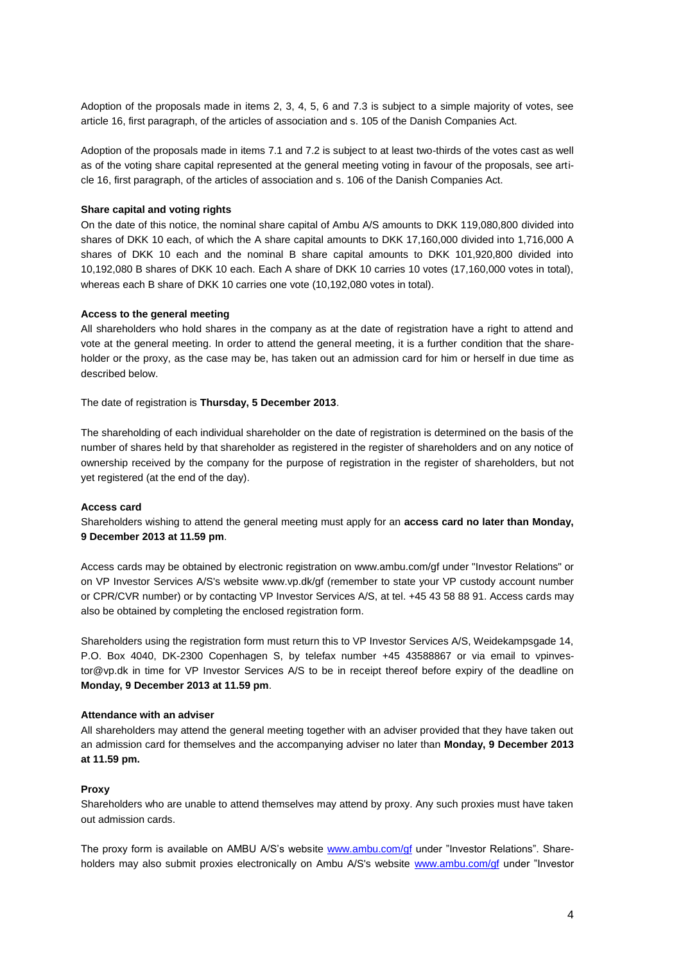Adoption of the proposals made in items 2, 3, 4, 5, 6 and 7.3 is subject to a simple majority of votes, see article 16, first paragraph, of the articles of association and s. 105 of the Danish Companies Act.

Adoption of the proposals made in items 7.1 and 7.2 is subject to at least two-thirds of the votes cast as well as of the voting share capital represented at the general meeting voting in favour of the proposals, see article 16, first paragraph, of the articles of association and s. 106 of the Danish Companies Act.

## **Share capital and voting rights**

On the date of this notice, the nominal share capital of Ambu A/S amounts to DKK 119,080,800 divided into shares of DKK 10 each, of which the A share capital amounts to DKK 17,160,000 divided into 1,716,000 A shares of DKK 10 each and the nominal B share capital amounts to DKK 101,920,800 divided into 10,192,080 B shares of DKK 10 each. Each A share of DKK 10 carries 10 votes (17,160,000 votes in total), whereas each B share of DKK 10 carries one vote (10,192,080 votes in total).

#### **Access to the general meeting**

All shareholders who hold shares in the company as at the date of registration have a right to attend and vote at the general meeting. In order to attend the general meeting, it is a further condition that the shareholder or the proxy, as the case may be, has taken out an admission card for him or herself in due time as described below.

The date of registration is **Thursday, 5 December 2013**.

The shareholding of each individual shareholder on the date of registration is determined on the basis of the number of shares held by that shareholder as registered in the register of shareholders and on any notice of ownership received by the company for the purpose of registration in the register of shareholders, but not yet registered (at the end of the day).

#### **Access card**

Shareholders wishing to attend the general meeting must apply for an **access card no later than Monday, 9 December 2013 at 11.59 pm**.

Access cards may be obtained by electronic registration on [www.ambu.com/gf](http://www.ambu.com/) under "Investor Relations" or on VP Investor Services A/S's website [www.vp.dk/gf](http://www.vp.dk/gf) (remember to state your VP custody account number or CPR/CVR number) or by contacting VP Investor Services A/S, at tel. +45 43 58 88 91. Access cards may also be obtained by completing the enclosed registration form.

Shareholders using the registration form must return this to VP Investor Services A/S, Weidekampsgade 14, P.O. Box 4040, DK-2300 Copenhagen S, by telefax number +45 43588867 or via email to vpinvestor@vp.dk in time for VP Investor Services A/S to be in receipt thereof before expiry of the deadline on **Monday, 9 December 2013 at 11.59 pm**.

#### **Attendance with an adviser**

All shareholders may attend the general meeting together with an adviser provided that they have taken out an admission card for themselves and the accompanying adviser no later than **Monday, 9 December 2013 at 11.59 pm.**

#### **Proxy**

Shareholders who are unable to attend themselves may attend by proxy. Any such proxies must have taken out admission cards.

The proxy form is available on AMBU A/S's website [www.ambu.com/gf](http://www.ambu.com/gf) under "Investor Relations". Shareholders may also submit proxies electronically on Ambu A/S's website [www.ambu.com/gf](http://www.ambu.com/gf) under "Investor